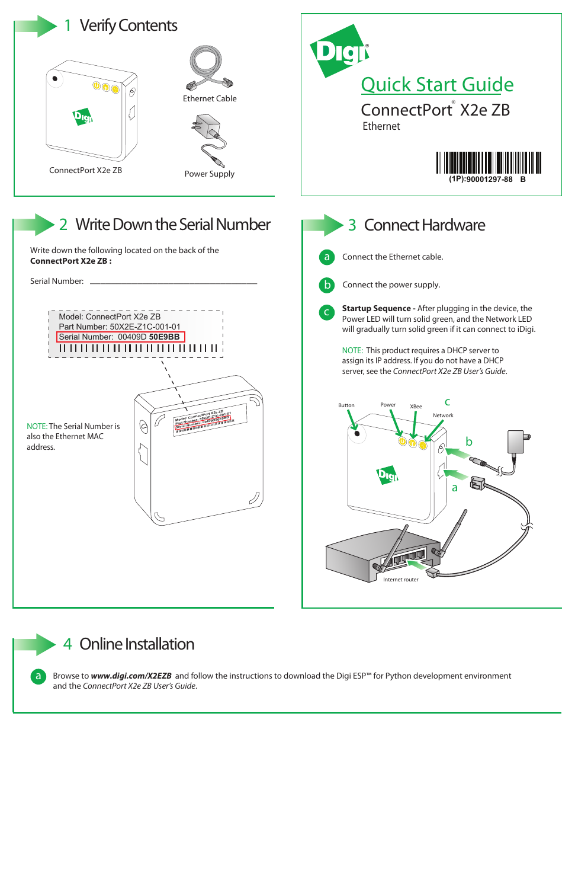4 **Online Installation**

Browse to *www.digi.com/X2EZB* and follow the instructions to download the Digi ESP™ for Python development environment and the *ConnectPort X2e ZB User's Guide*.

**a**